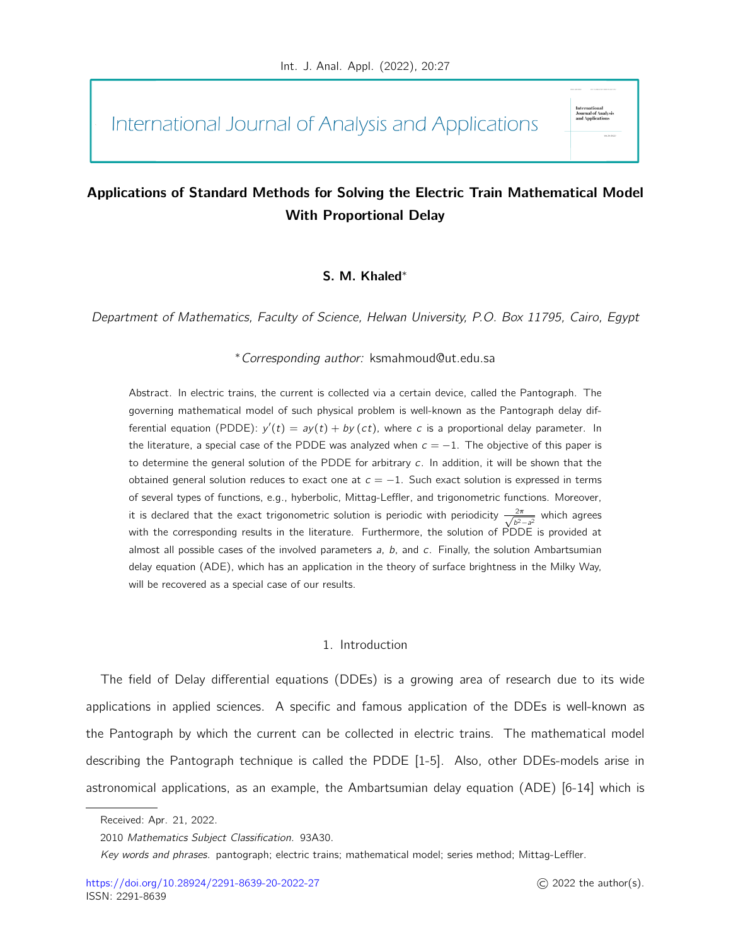International Journal of Analysis and Applications

# Applications of Standard Methods for Solving the Electric Train Mathematical Model With Proportional Delay

## S. M. Khaled<sup>∗</sup>

Department of Mathematics, Faculty of Science, Helwan University, P.O. Box 11795, Cairo, Egypt

<sup>∗</sup>Corresponding author: ksmahmoud@ut.edu.sa

Abstract. In electric trains, the current is collected via a certain device, called the Pantograph. The governing mathematical model of such physical problem is well-known as the Pantograph delay differential equation (PDDE):  $y'(t) = ay(t) + by(ct)$ , where c is a proportional delay parameter. In the literature, a special case of the PDDE was analyzed when  $c = -1$ . The objective of this paper is to determine the general solution of the PDDE for arbitrary  $c$ . In addition, it will be shown that the obtained general solution reduces to exact one at  $c = -1$ . Such exact solution is expressed in terms of several types of functions, e.g., hyberbolic, Mittag-Leffler, and trigonometric functions. Moreover, it is declared that the exact trigonometric solution is periodic with periodicity  $\frac{2\pi}{\sqrt{b^2-a^2}}$  which agrees with the corresponding results in the literature. Furthermore, the solution of PDDE is provided at almost all possible cases of the involved parameters  $a$ ,  $b$ , and  $c$ . Finally, the solution Ambartsumian delay equation (ADE), which has an application in the theory of surface brightness in the Milky Way, will be recovered as a special case of our results.

#### 1. Introduction

The field of Delay differential equations (DDEs) is a growing area of research due to its wide applications in applied sciences. A specific and famous application of the DDEs is well-known as the Pantograph by which the current can be collected in electric trains. The mathematical model describing the Pantograph technique is called the PDDE [1-5]. Also, other DDEs-models arise in astronomical applications, as an example, the Ambartsumian delay equation (ADE) [6-14] which is

rournar or Ana<br>and Applicatio

Received: Apr. 21, 2022.

<sup>2010</sup> Mathematics Subject Classification. 93A30.

Key words and phrases. pantograph; electric trains; mathematical model; series method; Mittag-Leffler.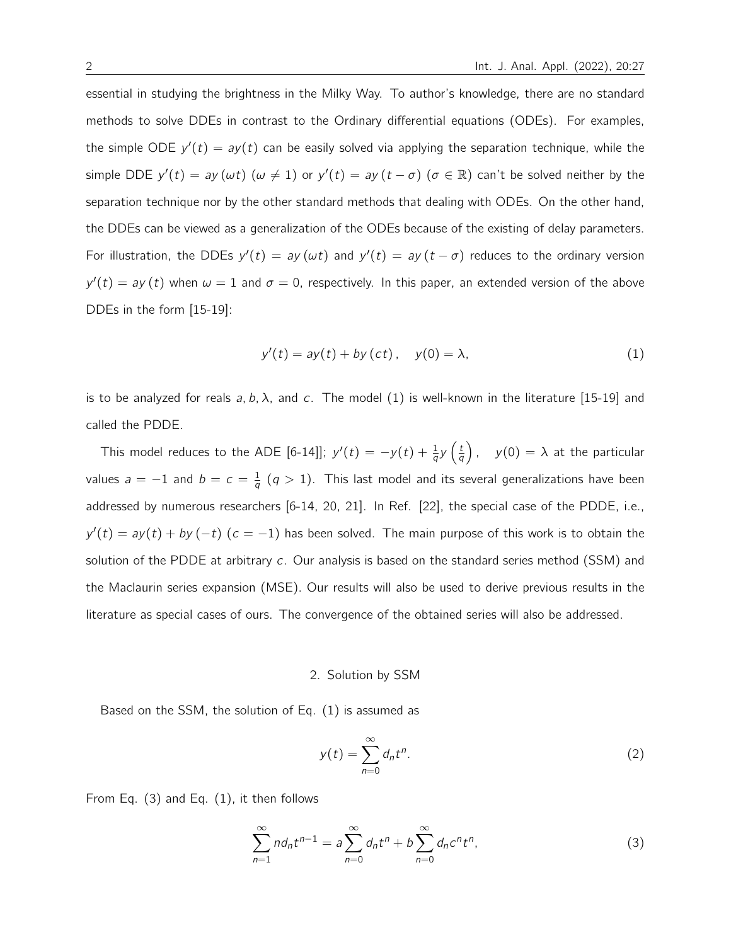essential in studying the brightness in the Milky Way. To author's knowledge, there are no standard methods to solve DDEs in contrast to the Ordinary differential equations (ODEs). For examples, the simple ODE  $y'(t) = ay(t)$  can be easily solved via applying the separation technique, while the simple DDE  $y'(t) = ay(\omega t)$   $(\omega \neq 1)$  or  $y'(t) = ay(t - \sigma)$   $(\sigma \in \mathbb{R})$  can't be solved neither by the separation technique nor by the other standard methods that dealing with ODEs. On the other hand, the DDEs can be viewed as a generalization of the ODEs because of the existing of delay parameters. For illustration, the DDEs  $y'(t) = ay(\omega t)$  and  $y'(t) = ay(t - \sigma)$  reduces to the ordinary version  $y'(t) = ay(t)$  when  $\omega = 1$  and  $\sigma = 0$ , respectively. In this paper, an extended version of the above DDEs in the form [15-19]:

$$
y'(t) = ay(t) + by (ct), \quad y(0) = \lambda,
$$
\n(1)

is to be analyzed for reals a, b,  $\lambda$ , and c. The model (1) is well-known in the literature [15-19] and called the PDDE.

This model reduces to the ADE [6-14]];  $y'(t) = -y(t) + \frac{1}{q}y\left(\frac{t}{q}\right)$  $\left(\frac{t}{q}\right)$ ,  $y(0) = \lambda$  at the particular values  $a = -1$  and  $b = c = \frac{1}{a}$  $\frac{1}{q}$   $(q > 1)$ . This last model and its several generalizations have been addressed by numerous researchers [6-14, 20, 21]. In Ref. [22], the special case of the PDDE, i.e.,  $y'(t) = ay(t) + by (-t)$   $(c = -1)$  has been solved. The main purpose of this work is to obtain the solution of the PDDE at arbitrary  $c$ . Our analysis is based on the standard series method (SSM) and the Maclaurin series expansion (MSE). Our results will also be used to derive previous results in the literature as special cases of ours. The convergence of the obtained series will also be addressed.

### 2. Solution by SSM

Based on the SSM, the solution of Eq. (1) is assumed as

$$
y(t) = \sum_{n=0}^{\infty} d_n t^n.
$$
 (2)

From Eq. (3) and Eq. (1), it then follows

$$
\sum_{n=1}^{\infty} n d_n t^{n-1} = a \sum_{n=0}^{\infty} d_n t^n + b \sum_{n=0}^{\infty} d_n c^n t^n,
$$
\n(3)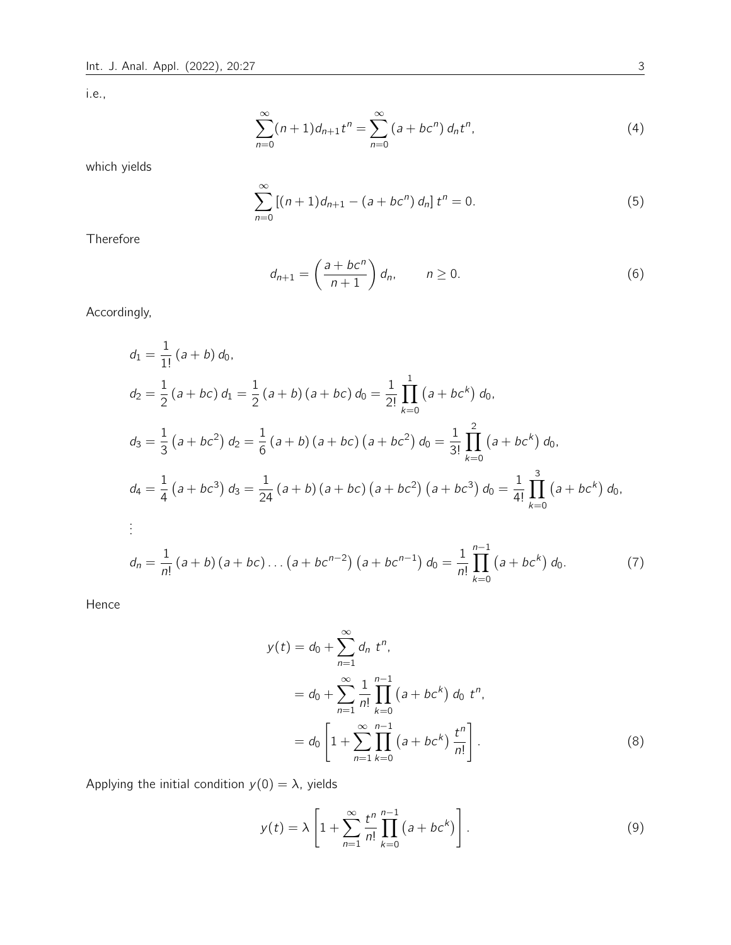i.e.,

$$
\sum_{n=0}^{\infty} (n+1)d_{n+1}t^n = \sum_{n=0}^{\infty} (a+bc^n) d_n t^n,
$$
\n(4)

which yields

$$
\sum_{n=0}^{\infty} \left[ (n+1)d_{n+1} - (a+bc^n) d_n \right] t^n = 0.
$$
 (5)

Therefore

$$
d_{n+1} = \left(\frac{a + bc^n}{n+1}\right) d_n, \qquad n \ge 0.
$$
 (6)

Accordingly,

$$
d_1 = \frac{1}{1!} (a + b) d_0,
$$
  
\n
$$
d_2 = \frac{1}{2} (a + bc) d_1 = \frac{1}{2} (a + b) (a + bc) d_0 = \frac{1}{2!} \prod_{k=0}^{1} (a + bc^k) d_0,
$$
  
\n
$$
d_3 = \frac{1}{3} (a + bc^2) d_2 = \frac{1}{6} (a + b) (a + bc) (a + bc^2) d_0 = \frac{1}{3!} \prod_{k=0}^{2} (a + bc^k) d_0,
$$
  
\n
$$
d_4 = \frac{1}{4} (a + bc^3) d_3 = \frac{1}{24} (a + b) (a + bc) (a + bc^2) (a + bc^3) d_0 = \frac{1}{4!} \prod_{k=0}^{3} (a + bc^k) d_0,
$$
  
\n
$$
\vdots
$$
  
\n
$$
d_n = \frac{1}{n!} (a + b) (a + bc) \dots (a + bc^{n-2}) (a + bc^{n-1}) d_0 = \frac{1}{n!} \prod_{k=0}^{n-1} (a + bc^k) d_0.
$$
  
\n(7)

Hence

$$
y(t) = d_0 + \sum_{n=1}^{\infty} d_n t^n,
$$
  
=  $d_0 + \sum_{n=1}^{\infty} \frac{1}{n!} \prod_{k=0}^{n-1} (a + bc^k) d_0 t^n,$   
=  $d_0 \left[ 1 + \sum_{n=1}^{\infty} \prod_{k=0}^{n-1} (a + bc^k) \frac{t^n}{n!} \right].$  (8)

Applying the initial condition  $y(0) = \lambda$ , yields

$$
y(t) = \lambda \left[ 1 + \sum_{n=1}^{\infty} \frac{t^n}{n!} \prod_{k=0}^{n-1} (a + bc^k) \right].
$$
 (9)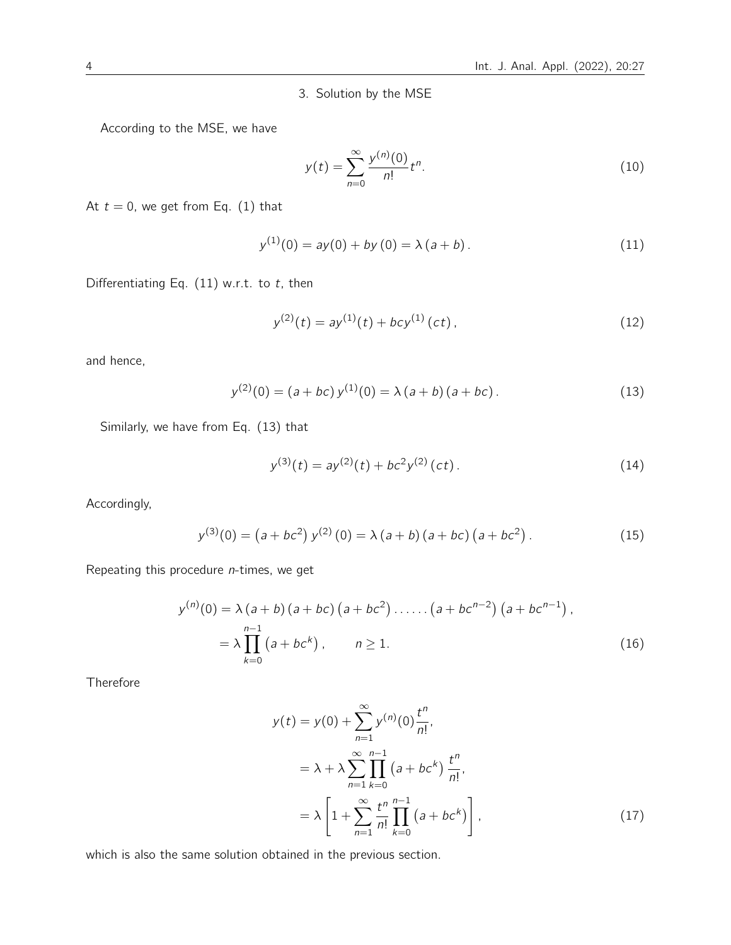3. Solution by the MSE

According to the MSE, we have

$$
y(t) = \sum_{n=0}^{\infty} \frac{y^{(n)}(0)}{n!} t^n.
$$
 (10)

At  $t = 0$ , we get from Eq. (1) that

$$
y^{(1)}(0) = ay(0) + by(0) = \lambda (a+b).
$$
 (11)

Differentiating Eq.  $(11)$  w.r.t. to t, then

$$
y^{(2)}(t) = ay^{(1)}(t) + bcy^{(1)}(ct),
$$
\n(12)

and hence,

$$
y^{(2)}(0) = (a + bc)y^{(1)}(0) = \lambda (a + b) (a + bc).
$$
 (13)

Similarly, we have from Eq. (13) that

$$
y^{(3)}(t) = ay^{(2)}(t) + bc^2 y^{(2)}(ct).
$$
 (14)

Accordingly,

$$
y^{(3)}(0) = (a + bc^2) y^{(2)}(0) = \lambda (a + b) (a + bc) (a + bc^2).
$$
 (15)

Repeating this procedure  $n$ -times, we get

$$
y^{(n)}(0) = \lambda (a+b) (a+bc) (a+bc^2) \dots (a+bc^{n-2}) (a+bc^{n-1}),
$$
  
=  $\lambda \prod_{k=0}^{n-1} (a+bc^k), \qquad n \ge 1.$  (16)

Therefore

$$
y(t) = y(0) + \sum_{n=1}^{\infty} y^{(n)}(0) \frac{t^n}{n!},
$$
  
=  $\lambda + \lambda \sum_{n=1}^{\infty} \prod_{k=0}^{n-1} (a + bc^k) \frac{t^n}{n!},$   
=  $\lambda \left[ 1 + \sum_{n=1}^{\infty} \frac{t^n}{n!} \prod_{k=0}^{n-1} (a + bc^k) \right],$  (17)

which is also the same solution obtained in the previous section.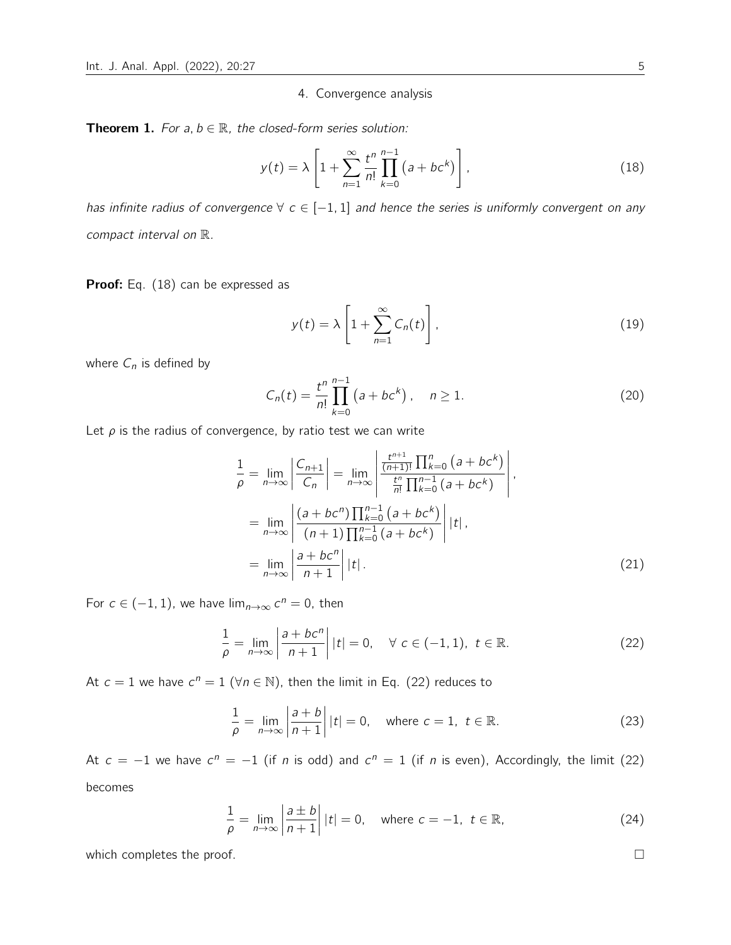### 4. Convergence analysis

**Theorem 1.** For a,  $b \in \mathbb{R}$ , the closed-form series solution:

$$
y(t) = \lambda \left[ 1 + \sum_{n=1}^{\infty} \frac{t^n}{n!} \prod_{k=0}^{n-1} (a + bc^k) \right],
$$
 (18)

has infinite radius of convergence  $\forall c \in [-1, 1]$  and hence the series is uniformly convergent on any compact interval on R.

Proof: Eq. (18) can be expressed as

$$
y(t) = \lambda \left[ 1 + \sum_{n=1}^{\infty} C_n(t) \right],
$$
 (19)

where  $C_n$  is defined by

$$
C_n(t) = \frac{t^n}{n!} \prod_{k=0}^{n-1} (a + bc^k), \quad n \ge 1.
$$
 (20)

Let  $\rho$  is the radius of convergence, by ratio test we can write

$$
\frac{1}{\rho} = \lim_{n \to \infty} \left| \frac{C_{n+1}}{C_n} \right| = \lim_{n \to \infty} \left| \frac{\frac{t^{n+1}}{(n+1)!} \prod_{k=0}^n (a + bc^k)}{\frac{t^n}{n!} \prod_{k=0}^{n-1} (a + bc^k)} \right|,
$$
\n
$$
= \lim_{n \to \infty} \left| \frac{(a + bc^n) \prod_{k=0}^{n-1} (a + bc^k)}{(n+1) \prod_{k=0}^{n-1} (a + bc^k)} \right| |t|,
$$
\n
$$
= \lim_{n \to \infty} \left| \frac{a + bc^n}{n+1} \right| |t|.
$$
\n(21)

For  $c \in (-1, 1)$ , we have  $\lim_{n \to \infty} c^n = 0$ , then

$$
\frac{1}{\rho} = \lim_{n \to \infty} \left| \frac{a + bc^n}{n+1} \right| |t| = 0, \quad \forall \ c \in (-1, 1), \ t \in \mathbb{R}.
$$
 (22)

At  $c = 1$  we have  $c^n = 1$  ( $\forall n \in \mathbb{N}$ ), then the limit in Eq. (22) reduces to

$$
\frac{1}{\rho} = \lim_{n \to \infty} \left| \frac{a+b}{n+1} \right| |t| = 0, \quad \text{where } c = 1, \ t \in \mathbb{R}.
$$
 (23)

At  $c = -1$  we have  $c^n = -1$  (if n is odd) and  $c^n = 1$  (if n is even), Accordingly, the limit (22) becomes

$$
\frac{1}{\rho} = \lim_{n \to \infty} \left| \frac{a \pm b}{n+1} \right| |t| = 0, \quad \text{where } c = -1, \ t \in \mathbb{R}, \tag{24}
$$

which completes the proof.  $\Box$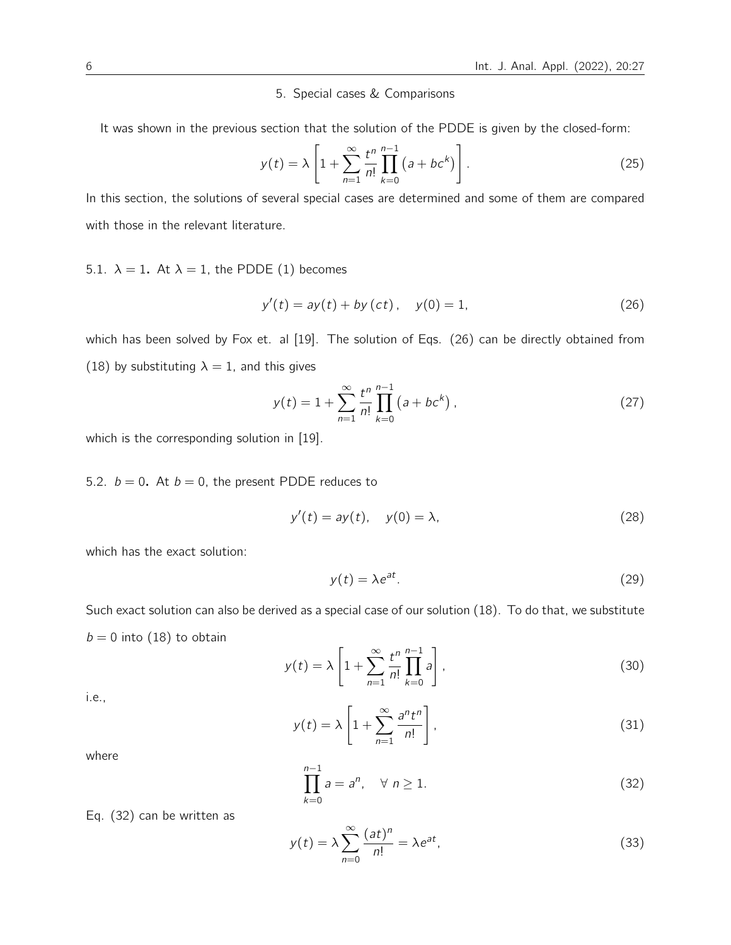### 5. Special cases & Comparisons

It was shown in the previous section that the solution of the PDDE is given by the closed-form:

$$
y(t) = \lambda \left[ 1 + \sum_{n=1}^{\infty} \frac{t^n}{n!} \prod_{k=0}^{n-1} (a + bc^k) \right].
$$
 (25)

In this section, the solutions of several special cases are determined and some of them are compared with those in the relevant literature.

5.1.  $\lambda = 1$ . At  $\lambda = 1$ , the PDDE (1) becomes

$$
y'(t) = ay(t) + by (ct), y(0) = 1,
$$
\n(26)

which has been solved by Fox et. al [19]. The solution of Eqs. (26) can be directly obtained from (18) by substituting  $\lambda = 1$ , and this gives

$$
y(t) = 1 + \sum_{n=1}^{\infty} \frac{t^n}{n!} \prod_{k=0}^{n-1} (a + bc^k),
$$
 (27)

which is the corresponding solution in [19].

5.2.  $b = 0$ . At  $b = 0$ , the present PDDE reduces to

$$
y'(t) = ay(t), \quad y(0) = \lambda,
$$
\n(28)

which has the exact solution:

$$
y(t) = \lambda e^{at}.\tag{29}
$$

Such exact solution can also be derived as a special case of our solution (18). To do that, we substitute  $b = 0$  into (18) to obtain

$$
y(t) = \lambda \left[ 1 + \sum_{n=1}^{\infty} \frac{t^n}{n!} \prod_{k=0}^{n-1} a \right],
$$
\n(30)

i.e.,

$$
y(t) = \lambda \left[ 1 + \sum_{n=1}^{\infty} \frac{a^n t^n}{n!} \right],
$$
\n(31)

where

$$
\prod_{k=0}^{n-1} a = a^n, \quad \forall \ n \ge 1.
$$
 (32)

Eq. (32) can be written as

$$
y(t) = \lambda \sum_{n=0}^{\infty} \frac{(at)^n}{n!} = \lambda e^{at},
$$
\n(33)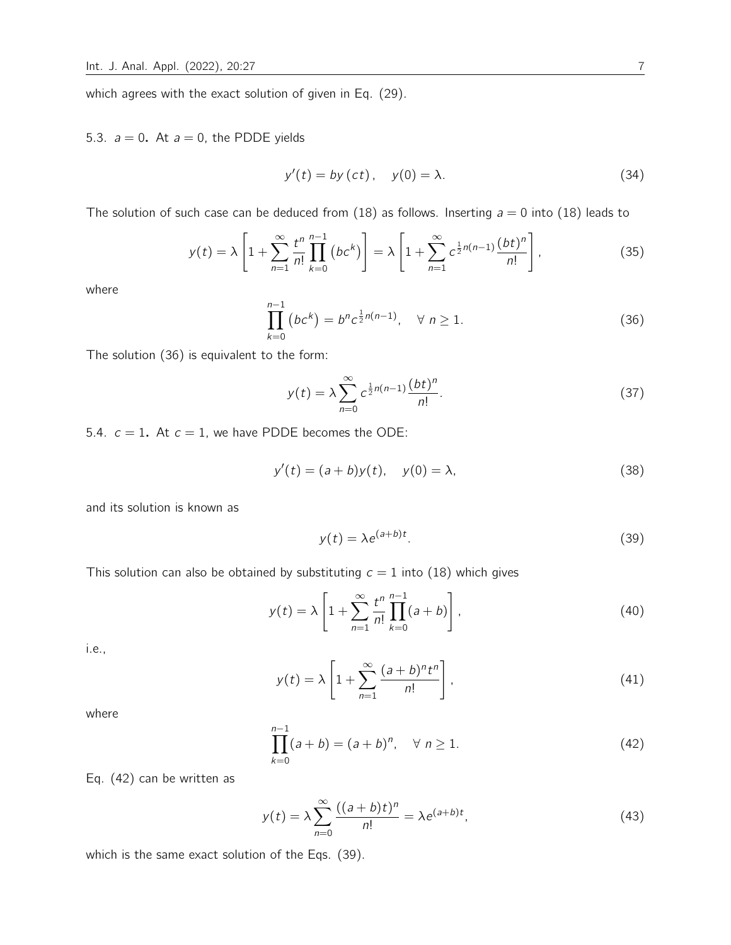which agrees with the exact solution of given in Eq. (29).

## 5.3.  $a = 0$ . At  $a = 0$ , the PDDE yields

$$
y'(t) = by (ct), \quad y(0) = \lambda. \tag{34}
$$

The solution of such case can be deduced from (18) as follows. Inserting  $a = 0$  into (18) leads to

$$
y(t) = \lambda \left[ 1 + \sum_{n=1}^{\infty} \frac{t^n}{n!} \prod_{k=0}^{n-1} \left( bc^k \right) \right] = \lambda \left[ 1 + \sum_{n=1}^{\infty} c^{\frac{1}{2}n(n-1)} \frac{(bt)^n}{n!} \right],
$$
 (35)

where

$$
\prod_{k=0}^{n-1} (bc^k) = b^n c^{\frac{1}{2}n(n-1)}, \quad \forall \ n \ge 1.
$$
 (36)

The solution (36) is equivalent to the form:

$$
y(t) = \lambda \sum_{n=0}^{\infty} c^{\frac{1}{2}n(n-1)} \frac{(bt)^n}{n!}.
$$
 (37)

5.4.  $c = 1$ . At  $c = 1$ , we have PDDE becomes the ODE:

$$
y'(t) = (a + b)y(t), y(0) = \lambda,
$$
 (38)

and its solution is known as

$$
y(t) = \lambda e^{(a+b)t}.\tag{39}
$$

This solution can also be obtained by substituting  $c = 1$  into (18) which gives

$$
y(t) = \lambda \left[ 1 + \sum_{n=1}^{\infty} \frac{t^n}{n!} \prod_{k=0}^{n-1} (a+b) \right],
$$
 (40)

i.e.,

$$
y(t) = \lambda \left[ 1 + \sum_{n=1}^{\infty} \frac{(a+b)^n t^n}{n!} \right],
$$
\n(41)

where

$$
\prod_{k=0}^{n-1} (a+b) = (a+b)^n, \quad \forall \ n \ge 1.
$$
 (42)

Eq. (42) can be written as

$$
y(t) = \lambda \sum_{n=0}^{\infty} \frac{((a+b)t)^n}{n!} = \lambda e^{(a+b)t},\tag{43}
$$

which is the same exact solution of the Eqs. (39).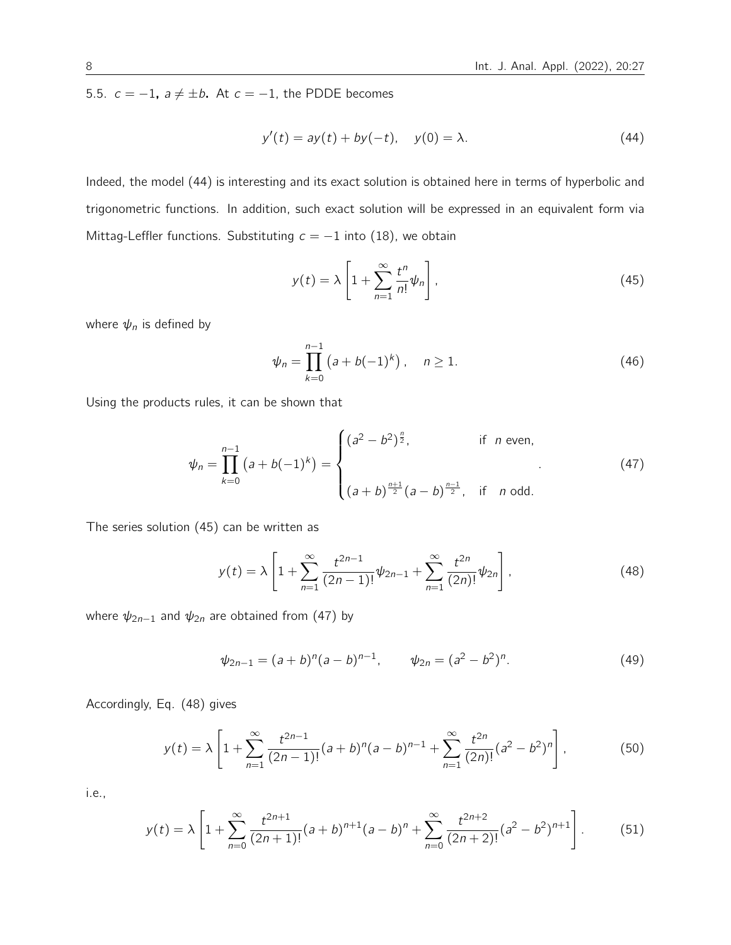5.5.  $c = -1$ ,  $a \neq \pm b$ . At  $c = -1$ , the PDDE becomes

$$
y'(t) = ay(t) + by(-t), y(0) = \lambda.
$$
 (44)

Indeed, the model (44) is interesting and its exact solution is obtained here in terms of hyperbolic and trigonometric functions. In addition, such exact solution will be expressed in an equivalent form via Mittag-Leffler functions. Substituting  $c = -1$  into (18), we obtain

$$
y(t) = \lambda \left[ 1 + \sum_{n=1}^{\infty} \frac{t^n}{n!} \psi_n \right],
$$
\n(45)

where  $\psi_n$  is defined by

$$
\psi_n = \prod_{k=0}^{n-1} (a + b(-1)^k), \quad n \ge 1.
$$
\n(46)

Using the products rules, it can be shown that

$$
\psi_n = \prod_{k=0}^{n-1} (a+b(-1)^k) = \begin{cases} (a^2 - b^2)^{\frac{n}{2}}, & \text{if } n \text{ even}, \\ \\ (a+b)^{\frac{n+1}{2}}(a-b)^{\frac{n-1}{2}}, & \text{if } n \text{ odd}. \end{cases}
$$
(47)

The series solution (45) can be written as

$$
y(t) = \lambda \left[ 1 + \sum_{n=1}^{\infty} \frac{t^{2n-1}}{(2n-1)!} \psi_{2n-1} + \sum_{n=1}^{\infty} \frac{t^{2n}}{(2n)!} \psi_{2n} \right],
$$
 (48)

where  $\psi_{2n-1}$  and  $\psi_{2n}$  are obtained from (47) by

$$
\psi_{2n-1} = (a+b)^n (a-b)^{n-1}, \qquad \psi_{2n} = (a^2 - b^2)^n. \tag{49}
$$

Accordingly, Eq. (48) gives

$$
y(t) = \lambda \left[ 1 + \sum_{n=1}^{\infty} \frac{t^{2n-1}}{(2n-1)!} (a+b)^n (a-b)^{n-1} + \sum_{n=1}^{\infty} \frac{t^{2n}}{(2n)!} (a^2 - b^2)^n \right],
$$
 (50)

i.e.,

$$
y(t) = \lambda \left[ 1 + \sum_{n=0}^{\infty} \frac{t^{2n+1}}{(2n+1)!} (a+b)^{n+1} (a-b)^n + \sum_{n=0}^{\infty} \frac{t^{2n+2}}{(2n+2)!} (a^2-b^2)^{n+1} \right].
$$
 (51)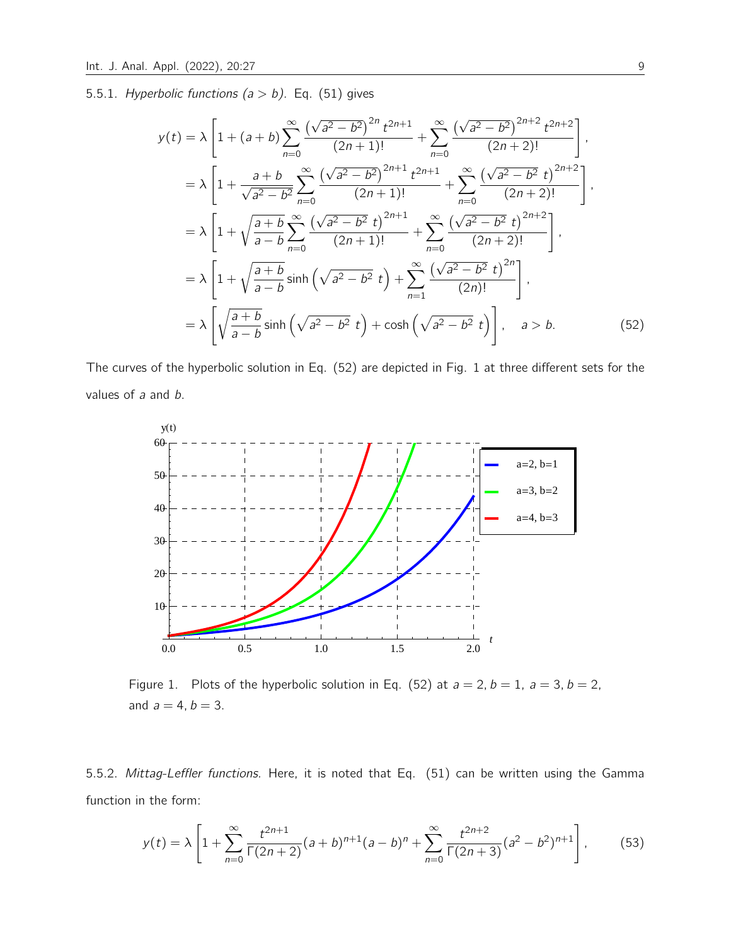5.5.1. Hyperbolic functions ( $a > b$ ). Eq. (51) gives

$$
y(t) = \lambda \left[ 1 + (a+b) \sum_{n=0}^{\infty} \frac{(\sqrt{a^2 - b^2})^{2n} t^{2n+1}}{(2n+1)!} + \sum_{n=0}^{\infty} \frac{(\sqrt{a^2 - b^2})^{2n+2} t^{2n+2}}{(2n+2)!} \right],
$$
  
\n
$$
= \lambda \left[ 1 + \frac{a+b}{\sqrt{a^2 - b^2}} \sum_{n=0}^{\infty} \frac{(\sqrt{a^2 - b^2})^{2n+1} t^{2n+1}}{(2n+1)!} + \sum_{n=0}^{\infty} \frac{(\sqrt{a^2 - b^2} t)^{2n+2}}{(2n+2)!} \right],
$$
  
\n
$$
= \lambda \left[ 1 + \sqrt{\frac{a+b}{a-b}} \sum_{n=0}^{\infty} \frac{(\sqrt{a^2 - b^2} t)^{2n+1}}{(2n+1)!} + \sum_{n=0}^{\infty} \frac{(\sqrt{a^2 - b^2} t)^{2n+2}}{(2n+2)!} \right],
$$
  
\n
$$
= \lambda \left[ 1 + \sqrt{\frac{a+b}{a-b}} \sinh\left(\sqrt{a^2 - b^2} t\right) + \sum_{n=1}^{\infty} \frac{(\sqrt{a^2 - b^2} t)^{2n}}{(2n)!} \right],
$$
  
\n
$$
= \lambda \left[ \sqrt{\frac{a+b}{a-b}} \sinh\left(\sqrt{a^2 - b^2} t\right) + \cosh\left(\sqrt{a^2 - b^2} t\right) \right], \quad a > b.
$$
  
\n(52)

The curves of the hyperbolic solution in Eq. (52) are depicted in Fig. 1 at three different sets for the values of a and b.



Figure 1. Plots of the hyperbolic solution in Eq. (52) at  $a = 2$ ,  $b = 1$ ,  $a = 3$ ,  $b = 2$ , and  $a = 4, b = 3$ .

5.5.2. Mittag-Leffler functions. Here, it is noted that Eq. (51) can be written using the Gamma function in the form:

$$
y(t) = \lambda \left[ 1 + \sum_{n=0}^{\infty} \frac{t^{2n+1}}{\Gamma(2n+2)} (a+b)^{n+1} (a-b)^n + \sum_{n=0}^{\infty} \frac{t^{2n+2}}{\Gamma(2n+3)} (a^2-b^2)^{n+1} \right],
$$
 (53)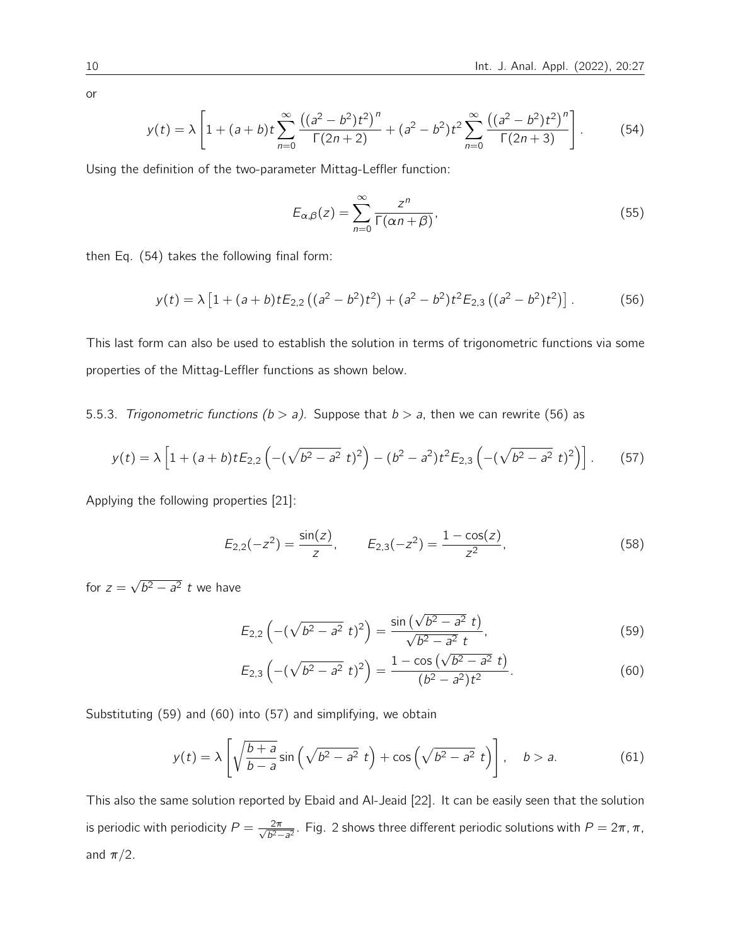or

$$
y(t) = \lambda \left[ 1 + (a+b)t \sum_{n=0}^{\infty} \frac{((a^2 - b^2)t^2)^n}{\Gamma(2n+2)} + (a^2 - b^2)t^2 \sum_{n=0}^{\infty} \frac{((a^2 - b^2)t^2)^n}{\Gamma(2n+3)} \right].
$$
 (54)

Using the definition of the two-parameter Mittag-Leffler function:

$$
E_{\alpha,\beta}(z) = \sum_{n=0}^{\infty} \frac{z^n}{\Gamma(\alpha n + \beta)},
$$
\n(55)

then Eq. (54) takes the following final form:

$$
y(t) = \lambda \left[ 1 + (a+b)tE_{2,2} \left( (a^2 - b^2)t^2 \right) + (a^2 - b^2)t^2E_{2,3} \left( (a^2 - b^2)t^2 \right) \right].
$$
 (56)

This last form can also be used to establish the solution in terms of trigonometric functions via some properties of the Mittag-Leffler functions as shown below.

5.5.3. Trigonometric functions ( $b > a$ ). Suppose that  $b > a$ , then we can rewrite (56) as

$$
y(t) = \lambda \left[ 1 + (a+b)tE_{2,2} \left( -(\sqrt{b^2 - a^2} t)^2 \right) - (b^2 - a^2)t^2 E_{2,3} \left( -(\sqrt{b^2 - a^2} t)^2 \right) \right].
$$
 (57)

Applying the following properties [21]:

$$
E_{2,2}(-z^2) = \frac{\sin(z)}{z}, \qquad E_{2,3}(-z^2) = \frac{1 - \cos(z)}{z^2}, \tag{58}
$$

for  $z =$ √  $\overline{b^2 - a^2}$  t we have

$$
E_{2,2}\left(-(\sqrt{b^2-a^2} t)^2\right) = \frac{\sin(\sqrt{b^2-a^2} t)}{\sqrt{b^2-a^2} t},\tag{59}
$$

$$
E_{2,3}\left(-(\sqrt{b^2-a^2} t)^2\right) = \frac{1-\cos(\sqrt{b^2-a^2} t)}{(b^2-a^2)t^2}.
$$
\n(60)

Substituting (59) and (60) into (57) and simplifying, we obtain

$$
y(t) = \lambda \left[ \sqrt{\frac{b+a}{b-a}} \sin \left( \sqrt{b^2 - a^2} t \right) + \cos \left( \sqrt{b^2 - a^2} t \right) \right], \quad b > a.
$$
 (61)

This also the same solution reported by Ebaid and Al-Jeaid [22]. It can be easily seen that the solution is periodic with periodicity  $P = \frac{2\pi}{\sqrt{2}}$  $\frac{2\pi}{b^2-a^2}$ . Fig. 2 shows three different periodic solutions with  $P = 2\pi, \pi$ , and  $\pi/2$ .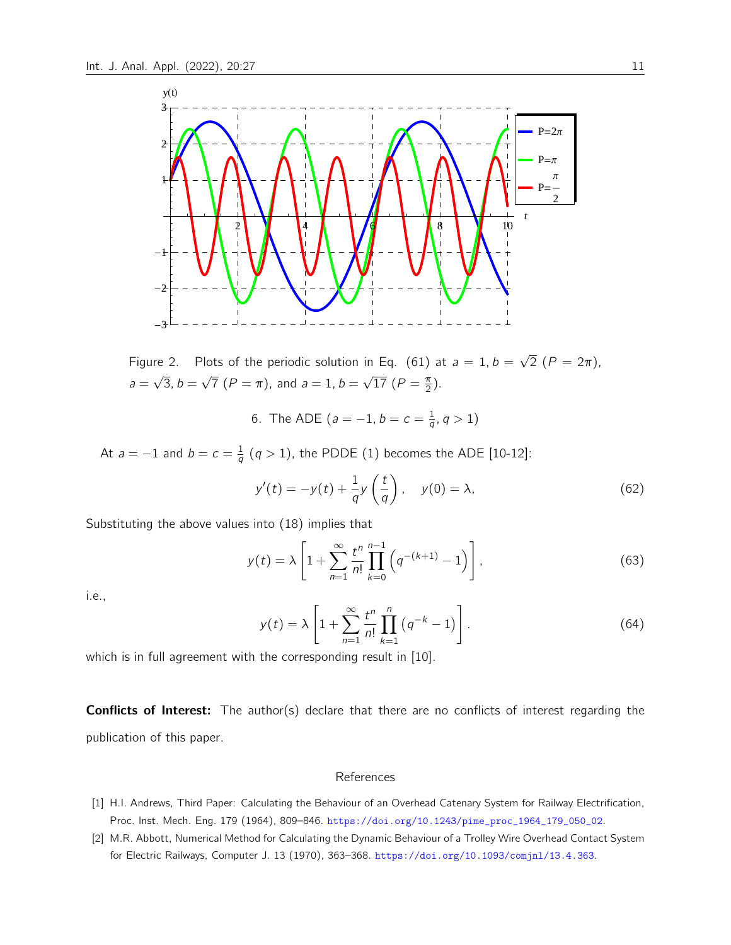

Figure 2. Plots of the periodic solution in Eq. (61) at  $a = 1, b =$ √  $2(P = 2\pi)$ ,  $a =$ √  $\overline{3}, b =$ √  $\overline{7}$   $(P = \pi)$ , and  $a = 1$ ,  $b =$ √  $\overline{17}$   $(P = \frac{\pi}{2})$  $\frac{\pi}{2}$ ).

6. The ADE ( $a = -1$ ,  $b = c = \frac{1}{a}$  $\frac{1}{q}$ ,  $q > 1$ )

At  $a = -1$  and  $b = c = \frac{1}{a}$  $\frac{1}{q}$   $(q > 1)$ , the PDDE  $(1)$  becomes the ADE  $[10\n-12]$ :

$$
y'(t) = -y(t) + \frac{1}{q}y\left(\frac{t}{q}\right), \quad y(0) = \lambda,\tag{62}
$$

Substituting the above values into (18) implies that

$$
y(t) = \lambda \left[ 1 + \sum_{n=1}^{\infty} \frac{t^n}{n!} \prod_{k=0}^{n-1} \left( q^{-(k+1)} - 1 \right) \right],
$$
 (63)

i.e.,

$$
y(t) = \lambda \left[ 1 + \sum_{n=1}^{\infty} \frac{t^n}{n!} \prod_{k=1}^n (q^{-k} - 1) \right].
$$
 (64)

which is in full agreement with the corresponding result in [10].

**Conflicts of Interest:** The author(s) declare that there are no conflicts of interest regarding the publication of this paper.

#### References

- [1] H.I. Andrews, Third Paper: Calculating the Behaviour of an Overhead Catenary System for Railway Electrification, Proc. Inst. Mech. Eng. 179 (1964), 809–846. [https://doi.org/10.1243/pime\\_proc\\_1964\\_179\\_050\\_02](https://doi.org/10.1243/pime_proc_1964_179_050_02).
- [2] M.R. Abbott, Numerical Method for Calculating the Dynamic Behaviour of a Trolley Wire Overhead Contact System for Electric Railways, Computer J. 13 (1970), 363–368. <https://doi.org/10.1093/comjnl/13.4.363>.